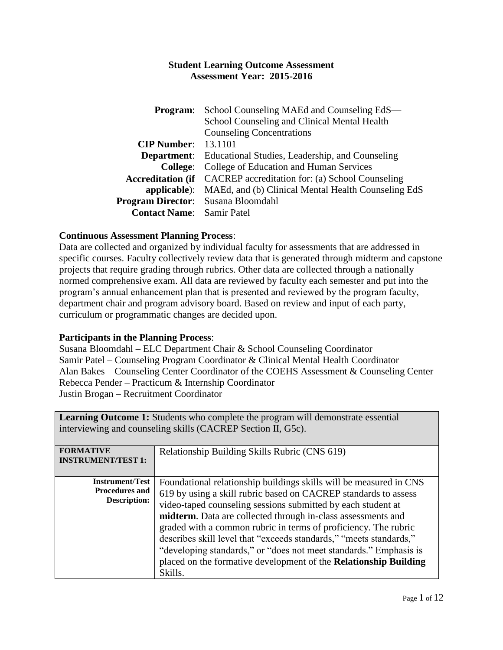| Program:                                  | School Counseling MAEd and Counseling EdS—                               |  |
|-------------------------------------------|--------------------------------------------------------------------------|--|
|                                           | School Counseling and Clinical Mental Health                             |  |
|                                           | <b>Counseling Concentrations</b>                                         |  |
| $CIP$ Number: 13.1101                     |                                                                          |  |
|                                           | <b>Department:</b> Educational Studies, Leadership, and Counseling       |  |
|                                           | <b>College:</b> College of Education and Human Services                  |  |
|                                           | <b>Accreditation (if</b> CACREP accreditation for: (a) School Counseling |  |
|                                           | <b>applicable</b> ): MAEd, and (b) Clinical Mental Health Counseling EdS |  |
| <b>Program Director:</b> Susana Bloomdahl |                                                                          |  |
| <b>Contact Name:</b> Samir Patel          |                                                                          |  |

## **Continuous Assessment Planning Process**:

Data are collected and organized by individual faculty for assessments that are addressed in specific courses. Faculty collectively review data that is generated through midterm and capstone projects that require grading through rubrics. Other data are collected through a nationally normed comprehensive exam. All data are reviewed by faculty each semester and put into the program's annual enhancement plan that is presented and reviewed by the program faculty, department chair and program advisory board. Based on review and input of each party, curriculum or programmatic changes are decided upon.

#### **Participants in the Planning Process**:

Susana Bloomdahl – ELC Department Chair & School Counseling Coordinator Samir Patel – Counseling Program Coordinator & Clinical Mental Health Coordinator Alan Bakes – Counseling Center Coordinator of the COEHS Assessment & Counseling Center Rebecca Pender – Practicum & Internship Coordinator Justin Brogan – Recruitment Coordinator

**Learning Outcome 1:** Students who complete the program will demonstrate essential

| <b>Learning Outcome 1.</b> Students who complete the program will demonstrate essential<br>interviewing and counseling skills (CACREP Section II, G5c). |                                                                                                                                                                                                                                                                                                                                                                                                                                                                                                                                                                    |  |
|---------------------------------------------------------------------------------------------------------------------------------------------------------|--------------------------------------------------------------------------------------------------------------------------------------------------------------------------------------------------------------------------------------------------------------------------------------------------------------------------------------------------------------------------------------------------------------------------------------------------------------------------------------------------------------------------------------------------------------------|--|
| <b>FORMATIVE</b><br><b>INSTRUMENT/TEST 1:</b>                                                                                                           | Relationship Building Skills Rubric (CNS 619)                                                                                                                                                                                                                                                                                                                                                                                                                                                                                                                      |  |
| <b>Instrument/Test</b><br><b>Procedures and</b><br><b>Description:</b>                                                                                  | Foundational relationship buildings skills will be measured in CNS<br>619 by using a skill rubric based on CACREP standards to assess<br>video-taped counseling sessions submitted by each student at<br>midterm. Data are collected through in-class assessments and<br>graded with a common rubric in terms of proficiency. The rubric<br>describes skill level that "exceeds standards," "meets standards,"<br>"developing standards," or "does not meet standards." Emphasis is<br>placed on the formative development of the Relationship Building<br>Skills. |  |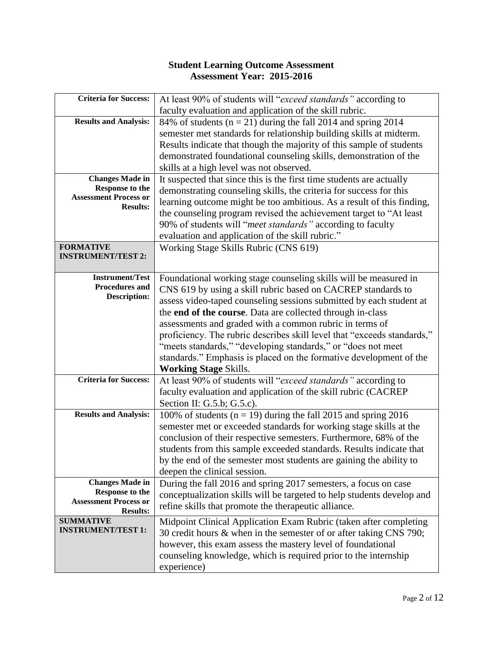| <b>Criteria for Success:</b>                                                                  | At least 90% of students will "exceed standards" according to                                                                                                                                                                                                                                                                                             |
|-----------------------------------------------------------------------------------------------|-----------------------------------------------------------------------------------------------------------------------------------------------------------------------------------------------------------------------------------------------------------------------------------------------------------------------------------------------------------|
|                                                                                               | faculty evaluation and application of the skill rubric.                                                                                                                                                                                                                                                                                                   |
| <b>Results and Analysis:</b>                                                                  | 84% of students ( $n = 21$ ) during the fall 2014 and spring 2014                                                                                                                                                                                                                                                                                         |
|                                                                                               | semester met standards for relationship building skills at midterm.                                                                                                                                                                                                                                                                                       |
|                                                                                               | Results indicate that though the majority of this sample of students                                                                                                                                                                                                                                                                                      |
|                                                                                               | demonstrated foundational counseling skills, demonstration of the                                                                                                                                                                                                                                                                                         |
|                                                                                               | skills at a high level was not observed.                                                                                                                                                                                                                                                                                                                  |
| <b>Changes Made in</b>                                                                        | It suspected that since this is the first time students are actually                                                                                                                                                                                                                                                                                      |
| Response to the                                                                               | demonstrating counseling skills, the criteria for success for this                                                                                                                                                                                                                                                                                        |
| <b>Assessment Process or</b>                                                                  | learning outcome might be too ambitious. As a result of this finding,                                                                                                                                                                                                                                                                                     |
| <b>Results:</b>                                                                               | the counseling program revised the achievement target to "At least"                                                                                                                                                                                                                                                                                       |
|                                                                                               | 90% of students will "meet standards" according to faculty                                                                                                                                                                                                                                                                                                |
|                                                                                               | evaluation and application of the skill rubric."                                                                                                                                                                                                                                                                                                          |
| <b>FORMATIVE</b>                                                                              | Working Stage Skills Rubric (CNS 619)                                                                                                                                                                                                                                                                                                                     |
| <b>INSTRUMENT/TEST 2:</b>                                                                     |                                                                                                                                                                                                                                                                                                                                                           |
|                                                                                               |                                                                                                                                                                                                                                                                                                                                                           |
| <b>Instrument/Test</b>                                                                        | Foundational working stage counseling skills will be measured in                                                                                                                                                                                                                                                                                          |
| <b>Procedures and</b>                                                                         | CNS 619 by using a skill rubric based on CACREP standards to                                                                                                                                                                                                                                                                                              |
| <b>Description:</b>                                                                           | assess video-taped counseling sessions submitted by each student at                                                                                                                                                                                                                                                                                       |
|                                                                                               | the end of the course. Data are collected through in-class                                                                                                                                                                                                                                                                                                |
|                                                                                               | assessments and graded with a common rubric in terms of                                                                                                                                                                                                                                                                                                   |
|                                                                                               | proficiency. The rubric describes skill level that "exceeds standards,"                                                                                                                                                                                                                                                                                   |
|                                                                                               | "meets standards," "developing standards," or "does not meet                                                                                                                                                                                                                                                                                              |
|                                                                                               | standards." Emphasis is placed on the formative development of the                                                                                                                                                                                                                                                                                        |
|                                                                                               | <b>Working Stage Skills.</b>                                                                                                                                                                                                                                                                                                                              |
| <b>Criteria for Success:</b>                                                                  |                                                                                                                                                                                                                                                                                                                                                           |
|                                                                                               | faculty evaluation and application of the skill rubric (CACREP                                                                                                                                                                                                                                                                                            |
|                                                                                               | Section II: G.5.b; G.5.c).                                                                                                                                                                                                                                                                                                                                |
| <b>Results and Analysis:</b>                                                                  | 100% of students ( $n = 19$ ) during the fall 2015 and spring 2016                                                                                                                                                                                                                                                                                        |
|                                                                                               | semester met or exceeded standards for working stage skills at the                                                                                                                                                                                                                                                                                        |
|                                                                                               | conclusion of their respective semesters. Furthermore, 68% of the                                                                                                                                                                                                                                                                                         |
|                                                                                               | students from this sample exceeded standards. Results indicate that                                                                                                                                                                                                                                                                                       |
|                                                                                               | by the end of the semester most students are gaining the ability to                                                                                                                                                                                                                                                                                       |
|                                                                                               | deepen the clinical session.                                                                                                                                                                                                                                                                                                                              |
| <b>Changes Made in</b>                                                                        | During the fall 2016 and spring 2017 semesters, a focus on case                                                                                                                                                                                                                                                                                           |
|                                                                                               | conceptualization skills will be targeted to help students develop and                                                                                                                                                                                                                                                                                    |
|                                                                                               | refine skills that promote the therapeutic alliance.                                                                                                                                                                                                                                                                                                      |
|                                                                                               |                                                                                                                                                                                                                                                                                                                                                           |
| <b>INSTRUMENT/TEST 1:</b>                                                                     |                                                                                                                                                                                                                                                                                                                                                           |
|                                                                                               |                                                                                                                                                                                                                                                                                                                                                           |
|                                                                                               |                                                                                                                                                                                                                                                                                                                                                           |
|                                                                                               |                                                                                                                                                                                                                                                                                                                                                           |
| <b>Response to the</b><br><b>Assessment Process or</b><br><b>Results:</b><br><b>SUMMATIVE</b> | At least 90% of students will "exceed standards" according to<br>Midpoint Clinical Application Exam Rubric (taken after completing<br>30 credit hours & when in the semester of or after taking CNS 790;<br>however, this exam assess the mastery level of foundational<br>counseling knowledge, which is required prior to the internship<br>experience) |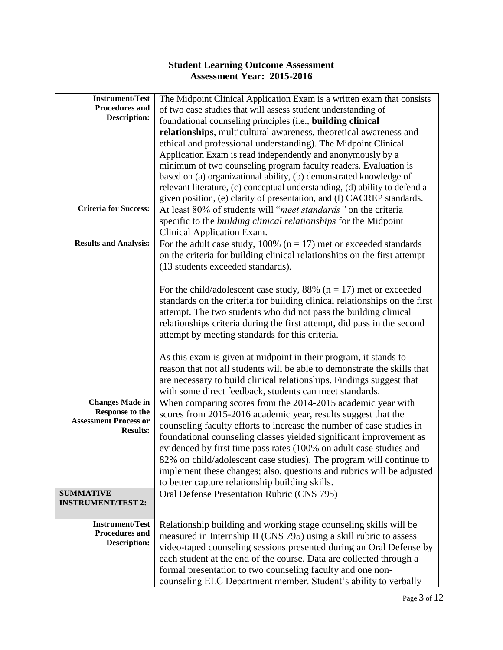| <b>Instrument/Test</b>       | The Midpoint Clinical Application Exam is a written exam that consists     |
|------------------------------|----------------------------------------------------------------------------|
| Procedures and               | of two case studies that will assess student understanding of              |
| <b>Description:</b>          | foundational counseling principles (i.e., building clinical                |
|                              | relationships, multicultural awareness, theoretical awareness and          |
|                              | ethical and professional understanding). The Midpoint Clinical             |
|                              |                                                                            |
|                              | Application Exam is read independently and anonymously by a                |
|                              | minimum of two counseling program faculty readers. Evaluation is           |
|                              | based on (a) organizational ability, (b) demonstrated knowledge of         |
|                              | relevant literature, (c) conceptual understanding, (d) ability to defend a |
|                              | given position, (e) clarity of presentation, and (f) CACREP standards.     |
| <b>Criteria for Success:</b> | At least 80% of students will "meet standards" on the criteria             |
|                              | specific to the <i>building clinical relationships</i> for the Midpoint    |
|                              | Clinical Application Exam.                                                 |
| <b>Results and Analysis:</b> | For the adult case study, 100% ( $n = 17$ ) met or exceeded standards      |
|                              | on the criteria for building clinical relationships on the first attempt   |
|                              | (13 students exceeded standards).                                          |
|                              |                                                                            |
|                              |                                                                            |
|                              | For the child/adolescent case study, 88% ( $n = 17$ ) met or exceeded      |
|                              | standards on the criteria for building clinical relationships on the first |
|                              | attempt. The two students who did not pass the building clinical           |
|                              | relationships criteria during the first attempt, did pass in the second    |
|                              | attempt by meeting standards for this criteria.                            |
|                              |                                                                            |
|                              | As this exam is given at midpoint in their program, it stands to           |
|                              | reason that not all students will be able to demonstrate the skills that   |
|                              | are necessary to build clinical relationships. Findings suggest that       |
|                              | with some direct feedback, students can meet standards.                    |
| <b>Changes Made in</b>       | When comparing scores from the 2014-2015 academic year with                |
| <b>Response to the</b>       |                                                                            |
| <b>Assessment Process or</b> | scores from 2015-2016 academic year, results suggest that the              |
| <b>Results:</b>              | counseling faculty efforts to increase the number of case studies in       |
|                              | foundational counseling classes yielded significant improvement as         |
|                              | evidenced by first time pass rates (100% on adult case studies and         |
|                              | 82% on child/adolescent case studies). The program will continue to        |
|                              | implement these changes; also, questions and rubrics will be adjusted      |
|                              | to better capture relationship building skills.                            |
| <b>SUMMATIVE</b>             | Oral Defense Presentation Rubric (CNS 795)                                 |
| <b>INSTRUMENT/TEST 2:</b>    |                                                                            |
|                              |                                                                            |
| <b>Instrument/Test</b>       | Relationship building and working stage counseling skills will be          |
| Procedures and               | measured in Internship II (CNS 795) using a skill rubric to assess         |
| <b>Description:</b>          | video-taped counseling sessions presented during an Oral Defense by        |
|                              | each student at the end of the course. Data are collected through a        |
|                              | formal presentation to two counseling faculty and one non-                 |
|                              | counseling ELC Department member. Student's ability to verbally            |
|                              |                                                                            |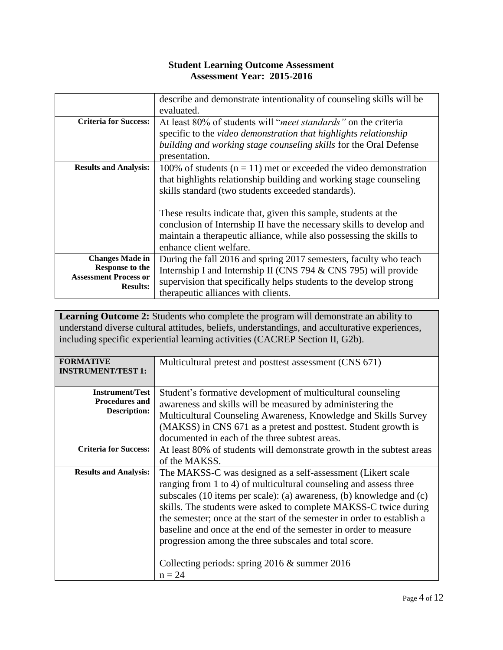|                                                 | describe and demonstrate intentionality of counseling skills will be    |  |
|-------------------------------------------------|-------------------------------------------------------------------------|--|
|                                                 | evaluated.                                                              |  |
| <b>Criteria for Success:</b>                    | At least 80% of students will " <i>meet standards</i> " on the criteria |  |
|                                                 | specific to the video demonstration that highlights relationship        |  |
|                                                 | building and working stage counseling skills for the Oral Defense       |  |
|                                                 | presentation.                                                           |  |
| <b>Results and Analysis:</b>                    | 100% of students ( $n = 11$ ) met or exceeded the video demonstration   |  |
|                                                 | that highlights relationship building and working stage counseling      |  |
|                                                 | skills standard (two students exceeded standards).                      |  |
|                                                 |                                                                         |  |
|                                                 | These results indicate that, given this sample, students at the         |  |
|                                                 | conclusion of Internship II have the necessary skills to develop and    |  |
|                                                 | maintain a therapeutic alliance, while also possessing the skills to    |  |
|                                                 | enhance client welfare.                                                 |  |
| <b>Changes Made in</b>                          | During the fall 2016 and spring 2017 semesters, faculty who teach       |  |
| Response to the                                 | Internship I and Internship II (CNS 794 & CNS 795) will provide         |  |
| <b>Assessment Process or</b><br><b>Results:</b> | supervision that specifically helps students to the develop strong      |  |
|                                                 | therapeutic alliances with clients.                                     |  |

Learning Outcome 2: Students who complete the program will demonstrate an ability to understand diverse cultural attitudes, beliefs, understandings, and acculturative experiences, including specific experiential learning activities (CACREP Section II, G2b).

| <b>FORMATIVE</b><br><b>INSTRUMENT/TEST 1:</b>                          | Multicultural pretest and posttest assessment (CNS 671)                                                                                                                                                                                                                                                                                                                                                                                                                                                                                                 |
|------------------------------------------------------------------------|---------------------------------------------------------------------------------------------------------------------------------------------------------------------------------------------------------------------------------------------------------------------------------------------------------------------------------------------------------------------------------------------------------------------------------------------------------------------------------------------------------------------------------------------------------|
| <b>Instrument/Test</b><br><b>Procedures and</b><br><b>Description:</b> | Student's formative development of multicultural counseling<br>awareness and skills will be measured by administering the<br>Multicultural Counseling Awareness, Knowledge and Skills Survey<br>(MAKSS) in CNS 671 as a pretest and posttest. Student growth is<br>documented in each of the three subtest areas.                                                                                                                                                                                                                                       |
| <b>Criteria for Success:</b>                                           | At least 80% of students will demonstrate growth in the subtest areas<br>of the MAKSS.                                                                                                                                                                                                                                                                                                                                                                                                                                                                  |
| <b>Results and Analysis:</b>                                           | The MAKSS-C was designed as a self-assessment (Likert scale<br>ranging from 1 to 4) of multicultural counseling and assess three<br>subscales (10 items per scale): (a) awareness, (b) knowledge and (c)<br>skills. The students were asked to complete MAKSS-C twice during<br>the semester; once at the start of the semester in order to establish a<br>baseline and once at the end of the semester in order to measure<br>progression among the three subscales and total score.<br>Collecting periods: spring $2016 \&$ summer $2016$<br>$n = 24$ |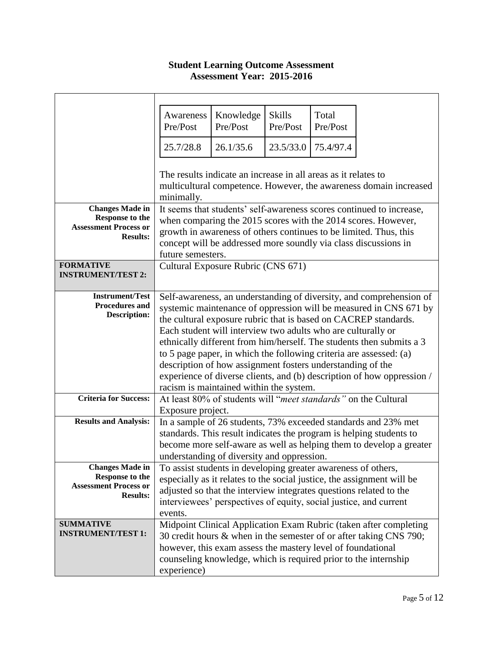|                                                  | Awareness<br>Pre/Post                                                                                                                                                                                 | Knowledge<br>Pre/Post                                                                                     | <b>Skills</b><br>Pre/Post | Total<br>Pre/Post |                                                                        |
|--------------------------------------------------|-------------------------------------------------------------------------------------------------------------------------------------------------------------------------------------------------------|-----------------------------------------------------------------------------------------------------------|---------------------------|-------------------|------------------------------------------------------------------------|
|                                                  | 25.7/28.8                                                                                                                                                                                             | 26.1/35.6                                                                                                 | 23.5/33.0                 | 75.4/97.4         |                                                                        |
|                                                  |                                                                                                                                                                                                       | The results indicate an increase in all areas as it relates to                                            |                           |                   |                                                                        |
|                                                  | minimally.                                                                                                                                                                                            |                                                                                                           |                           |                   | multicultural competence. However, the awareness domain increased      |
| <b>Changes Made in</b><br><b>Response to the</b> | It seems that students' self-awareness scores continued to increase,                                                                                                                                  |                                                                                                           |                           |                   |                                                                        |
| <b>Assessment Process or</b><br><b>Results:</b>  | when comparing the 2015 scores with the 2014 scores. However,<br>growth in awareness of others continues to be limited. Thus, this<br>concept will be addressed more soundly via class discussions in |                                                                                                           |                           |                   |                                                                        |
|                                                  | future semesters.                                                                                                                                                                                     |                                                                                                           |                           |                   |                                                                        |
| <b>FORMATIVE</b><br><b>INSTRUMENT/TEST 2:</b>    |                                                                                                                                                                                                       | Cultural Exposure Rubric (CNS 671)                                                                        |                           |                   |                                                                        |
|                                                  |                                                                                                                                                                                                       |                                                                                                           |                           |                   |                                                                        |
| <b>Instrument/Test</b><br><b>Procedures and</b>  |                                                                                                                                                                                                       | Self-awareness, an understanding of diversity, and comprehension of                                       |                           |                   |                                                                        |
| <b>Description:</b>                              | systemic maintenance of oppression will be measured in CNS 671 by<br>the cultural exposure rubric that is based on CACREP standards.                                                                  |                                                                                                           |                           |                   |                                                                        |
|                                                  | Each student will interview two adults who are culturally or                                                                                                                                          |                                                                                                           |                           |                   |                                                                        |
|                                                  | ethnically different from him/herself. The students then submits a 3                                                                                                                                  |                                                                                                           |                           |                   |                                                                        |
|                                                  |                                                                                                                                                                                                       |                                                                                                           |                           |                   | to 5 page paper, in which the following criteria are assessed: (a)     |
|                                                  |                                                                                                                                                                                                       | description of how assignment fosters understanding of the                                                |                           |                   |                                                                        |
|                                                  |                                                                                                                                                                                                       |                                                                                                           |                           |                   | experience of diverse clients, and (b) description of how oppression / |
| <b>Criteria for Success:</b>                     |                                                                                                                                                                                                       | racism is maintained within the system.<br>At least 80% of students will "meet standards" on the Cultural |                           |                   |                                                                        |
|                                                  | Exposure project.                                                                                                                                                                                     |                                                                                                           |                           |                   |                                                                        |
| <b>Results and Analysis:</b>                     |                                                                                                                                                                                                       |                                                                                                           |                           |                   | In a sample of 26 students, 73% exceeded standards and 23% met         |
|                                                  |                                                                                                                                                                                                       |                                                                                                           |                           |                   | standards. This result indicates the program is helping students to    |
|                                                  |                                                                                                                                                                                                       |                                                                                                           |                           |                   | become more self-aware as well as helping them to develop a greater    |
|                                                  |                                                                                                                                                                                                       | understanding of diversity and oppression.                                                                |                           |                   |                                                                        |
| <b>Changes Made in</b><br><b>Response to the</b> |                                                                                                                                                                                                       | To assist students in developing greater awareness of others,                                             |                           |                   |                                                                        |
| <b>Assessment Process or</b>                     | especially as it relates to the social justice, the assignment will be<br>adjusted so that the interview integrates questions related to the                                                          |                                                                                                           |                           |                   |                                                                        |
| <b>Results:</b>                                  |                                                                                                                                                                                                       | interviewees' perspectives of equity, social justice, and current                                         |                           |                   |                                                                        |
|                                                  | events.                                                                                                                                                                                               |                                                                                                           |                           |                   |                                                                        |
| <b>SUMMATIVE</b>                                 |                                                                                                                                                                                                       |                                                                                                           |                           |                   | Midpoint Clinical Application Exam Rubric (taken after completing      |
| <b>INSTRUMENT/TEST 1:</b>                        |                                                                                                                                                                                                       |                                                                                                           |                           |                   | 30 credit hours & when in the semester of or after taking CNS 790;     |
|                                                  |                                                                                                                                                                                                       | however, this exam assess the mastery level of foundational                                               |                           |                   |                                                                        |
|                                                  |                                                                                                                                                                                                       |                                                                                                           |                           |                   | counseling knowledge, which is required prior to the internship        |
|                                                  | experience)                                                                                                                                                                                           |                                                                                                           |                           |                   |                                                                        |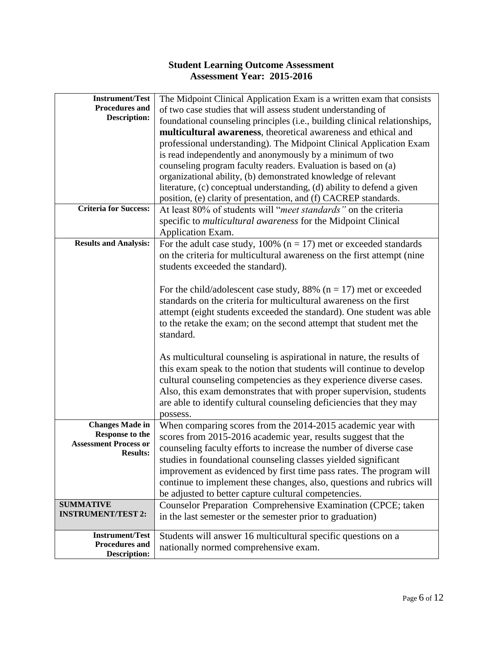| <b>Instrument/Test</b>                       | The Midpoint Clinical Application Exam is a written exam that consists     |
|----------------------------------------------|----------------------------------------------------------------------------|
| <b>Procedures and</b>                        | of two case studies that will assess student understanding of              |
| <b>Description:</b>                          | foundational counseling principles (i.e., building clinical relationships, |
|                                              | multicultural awareness, theoretical awareness and ethical and             |
|                                              | professional understanding). The Midpoint Clinical Application Exam        |
|                                              | is read independently and anonymously by a minimum of two                  |
|                                              | counseling program faculty readers. Evaluation is based on (a)             |
|                                              |                                                                            |
|                                              | organizational ability, (b) demonstrated knowledge of relevant             |
|                                              | literature, (c) conceptual understanding, (d) ability to defend a given    |
|                                              | position, (e) clarity of presentation, and (f) CACREP standards.           |
| <b>Criteria for Success:</b>                 | At least 80% of students will "meet standards" on the criteria             |
|                                              | specific to <i>multicultural awareness</i> for the Midpoint Clinical       |
|                                              | Application Exam.                                                          |
| <b>Results and Analysis:</b>                 | For the adult case study, 100% ( $n = 17$ ) met or exceeded standards      |
|                                              | on the criteria for multicultural awareness on the first attempt (nine     |
|                                              | students exceeded the standard).                                           |
|                                              |                                                                            |
|                                              | For the child/adolescent case study, 88% ( $n = 17$ ) met or exceeded      |
|                                              | standards on the criteria for multicultural awareness on the first         |
|                                              | attempt (eight students exceeded the standard). One student was able       |
|                                              |                                                                            |
|                                              | to the retake the exam; on the second attempt that student met the         |
|                                              | standard.                                                                  |
|                                              |                                                                            |
|                                              | As multicultural counseling is aspirational in nature, the results of      |
|                                              | this exam speak to the notion that students will continue to develop       |
|                                              | cultural counseling competencies as they experience diverse cases.         |
|                                              | Also, this exam demonstrates that with proper supervision, students        |
|                                              | are able to identify cultural counseling deficiencies that they may        |
|                                              | possess.                                                                   |
| <b>Changes Made in</b>                       | When comparing scores from the 2014-2015 academic year with                |
| <b>Response to the</b>                       | scores from 2015-2016 academic year, results suggest that the              |
| <b>Assessment Process or</b>                 | counseling faculty efforts to increase the number of diverse case          |
| <b>Results:</b>                              |                                                                            |
|                                              | studies in foundational counseling classes yielded significant             |
|                                              | improvement as evidenced by first time pass rates. The program will        |
|                                              | continue to implement these changes, also, questions and rubrics will      |
|                                              | be adjusted to better capture cultural competencies.                       |
| <b>SUMMATIVE</b>                             | Counselor Preparation Comprehensive Examination (CPCE; taken               |
| <b>INSTRUMENT/TEST 2:</b>                    | in the last semester or the semester prior to graduation)                  |
|                                              |                                                                            |
| <b>Instrument/Test</b>                       | Students will answer 16 multicultural specific questions on a              |
| <b>Procedures and</b><br><b>Description:</b> | nationally normed comprehensive exam.                                      |
|                                              |                                                                            |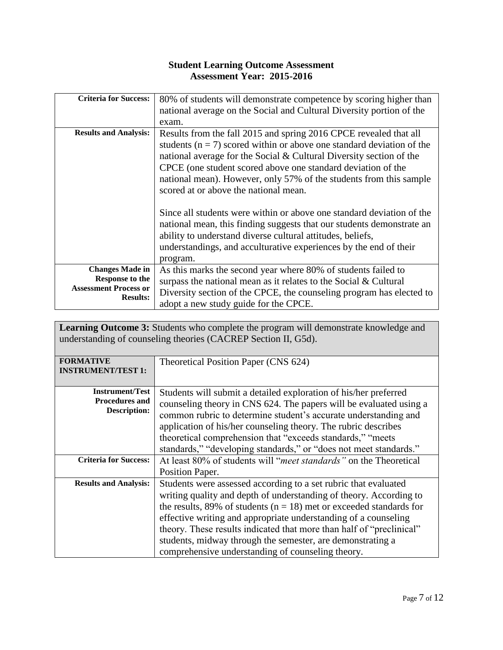| <b>Criteria for Success:</b>                                                                 | 80% of students will demonstrate competence by scoring higher than<br>national average on the Social and Cultural Diversity portion of the<br>exam.                                                                                                                                                                                                                                                    |
|----------------------------------------------------------------------------------------------|--------------------------------------------------------------------------------------------------------------------------------------------------------------------------------------------------------------------------------------------------------------------------------------------------------------------------------------------------------------------------------------------------------|
| <b>Results and Analysis:</b>                                                                 | Results from the fall 2015 and spring 2016 CPCE revealed that all<br>students ( $n = 7$ ) scored within or above one standard deviation of the<br>national average for the Social $&$ Cultural Diversity section of the<br>CPCE (one student scored above one standard deviation of the<br>national mean). However, only 57% of the students from this sample<br>scored at or above the national mean. |
|                                                                                              | Since all students were within or above one standard deviation of the<br>national mean, this finding suggests that our students demonstrate an<br>ability to understand diverse cultural attitudes, beliefs,<br>understandings, and acculturative experiences by the end of their<br>program.                                                                                                          |
| <b>Changes Made in</b><br>Response to the<br><b>Assessment Process or</b><br><b>Results:</b> | As this marks the second year where 80% of students failed to<br>surpass the national mean as it relates to the Social $&$ Cultural<br>Diversity section of the CPCE, the counseling program has elected to<br>adopt a new study guide for the CPCE.                                                                                                                                                   |

**Learning Outcome 3:** Students who complete the program will demonstrate knowledge and understanding of counseling theories (CACREP Section II, G5d).

| <b>FORMATIVE</b><br><b>INSTRUMENT/TEST 1:</b>                          | Theoretical Position Paper (CNS 624)                                                                                                                                                                                                                                                                                                                                                                                                                                           |
|------------------------------------------------------------------------|--------------------------------------------------------------------------------------------------------------------------------------------------------------------------------------------------------------------------------------------------------------------------------------------------------------------------------------------------------------------------------------------------------------------------------------------------------------------------------|
| <b>Instrument/Test</b><br><b>Procedures and</b><br><b>Description:</b> | Students will submit a detailed exploration of his/her preferred<br>counseling theory in CNS 624. The papers will be evaluated using a<br>common rubric to determine student's accurate understanding and<br>application of his/her counseling theory. The rubric describes<br>theoretical comprehension that "exceeds standards," "meets<br>standards," "developing standards," or "does not meet standards."                                                                 |
| <b>Criteria for Success:</b>                                           | At least 80% of students will " <i>meet standards</i> " on the Theoretical<br>Position Paper.                                                                                                                                                                                                                                                                                                                                                                                  |
| <b>Results and Analysis:</b>                                           | Students were assessed according to a set rubric that evaluated<br>writing quality and depth of understanding of theory. According to<br>the results, 89% of students ( $n = 18$ ) met or exceeded standards for<br>effective writing and appropriate understanding of a counseling<br>theory. These results indicated that more than half of "preclinical"<br>students, midway through the semester, are demonstrating a<br>comprehensive understanding of counseling theory. |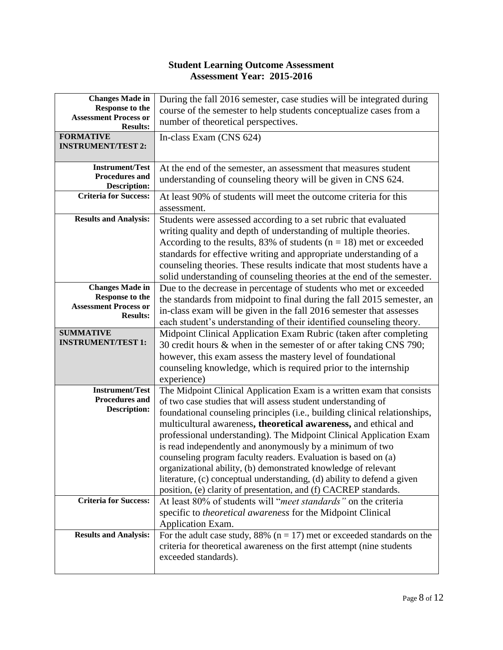| <b>Changes Made in</b><br><b>Response to the</b><br><b>Assessment Process or</b><br><b>Results:</b> | During the fall 2016 semester, case studies will be integrated during<br>course of the semester to help students conceptualize cases from a<br>number of theoretical perspectives.                                                                                                                                                                                                                                                                                                                                                                                                                                                                                                                              |
|-----------------------------------------------------------------------------------------------------|-----------------------------------------------------------------------------------------------------------------------------------------------------------------------------------------------------------------------------------------------------------------------------------------------------------------------------------------------------------------------------------------------------------------------------------------------------------------------------------------------------------------------------------------------------------------------------------------------------------------------------------------------------------------------------------------------------------------|
| <b>FORMATIVE</b><br><b>INSTRUMENT/TEST 2:</b>                                                       | In-class Exam (CNS 624)                                                                                                                                                                                                                                                                                                                                                                                                                                                                                                                                                                                                                                                                                         |
| <b>Instrument/Test</b><br><b>Procedures and</b><br><b>Description:</b>                              | At the end of the semester, an assessment that measures student<br>understanding of counseling theory will be given in CNS 624.                                                                                                                                                                                                                                                                                                                                                                                                                                                                                                                                                                                 |
| <b>Criteria for Success:</b>                                                                        | At least 90% of students will meet the outcome criteria for this<br>assessment.                                                                                                                                                                                                                                                                                                                                                                                                                                                                                                                                                                                                                                 |
| <b>Results and Analysis:</b>                                                                        | Students were assessed according to a set rubric that evaluated<br>writing quality and depth of understanding of multiple theories.<br>According to the results, 83% of students $(n = 18)$ met or exceeded<br>standards for effective writing and appropriate understanding of a<br>counseling theories. These results indicate that most students have a<br>solid understanding of counseling theories at the end of the semester.                                                                                                                                                                                                                                                                            |
| <b>Changes Made in</b><br><b>Response to the</b><br><b>Assessment Process or</b><br><b>Results:</b> | Due to the decrease in percentage of students who met or exceeded<br>the standards from midpoint to final during the fall 2015 semester, an<br>in-class exam will be given in the fall 2016 semester that assesses<br>each student's understanding of their identified counseling theory.                                                                                                                                                                                                                                                                                                                                                                                                                       |
| <b>SUMMATIVE</b><br><b>INSTRUMENT/TEST 1:</b>                                                       | Midpoint Clinical Application Exam Rubric (taken after completing<br>30 credit hours & when in the semester of or after taking CNS 790;<br>however, this exam assess the mastery level of foundational<br>counseling knowledge, which is required prior to the internship<br>experience)                                                                                                                                                                                                                                                                                                                                                                                                                        |
| <b>Instrument/Test</b><br><b>Procedures and</b><br><b>Description:</b>                              | The Midpoint Clinical Application Exam is a written exam that consists<br>of two case studies that will assess student understanding of<br>foundational counseling principles (i.e., building clinical relationships,<br>multicultural awareness, theoretical awareness, and ethical and<br>professional understanding). The Midpoint Clinical Application Exam<br>is read independently and anonymously by a minimum of two<br>counseling program faculty readers. Evaluation is based on (a)<br>organizational ability, (b) demonstrated knowledge of relevant<br>literature, (c) conceptual understanding, (d) ability to defend a given<br>position, (e) clarity of presentation, and (f) CACREP standards. |
| <b>Criteria for Success:</b>                                                                        | At least 80% of students will "meet standards" on the criteria<br>specific to theoretical awareness for the Midpoint Clinical<br>Application Exam.                                                                                                                                                                                                                                                                                                                                                                                                                                                                                                                                                              |
| <b>Results and Analysis:</b>                                                                        | For the adult case study, 88% ( $n = 17$ ) met or exceeded standards on the<br>criteria for theoretical awareness on the first attempt (nine students<br>exceeded standards).                                                                                                                                                                                                                                                                                                                                                                                                                                                                                                                                   |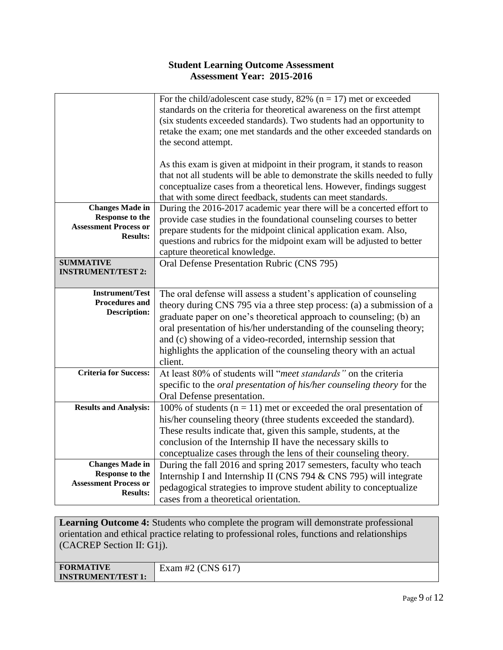|                                                                                                     | For the child/adolescent case study, 82% ( $n = 17$ ) met or exceeded<br>standards on the criteria for theoretical awareness on the first attempt<br>(six students exceeded standards). Two students had an opportunity to<br>retake the exam; one met standards and the other exceeded standards on<br>the second attempt.<br>As this exam is given at midpoint in their program, it stands to reason<br>that not all students will be able to demonstrate the skills needed to fully<br>conceptualize cases from a theoretical lens. However, findings suggest<br>that with some direct feedback, students can meet standards. |
|-----------------------------------------------------------------------------------------------------|----------------------------------------------------------------------------------------------------------------------------------------------------------------------------------------------------------------------------------------------------------------------------------------------------------------------------------------------------------------------------------------------------------------------------------------------------------------------------------------------------------------------------------------------------------------------------------------------------------------------------------|
| <b>Changes Made in</b><br><b>Response to the</b><br><b>Assessment Process or</b><br><b>Results:</b> | During the 2016-2017 academic year there will be a concerted effort to<br>provide case studies in the foundational counseling courses to better<br>prepare students for the midpoint clinical application exam. Also,<br>questions and rubrics for the midpoint exam will be adjusted to better<br>capture theoretical knowledge.                                                                                                                                                                                                                                                                                                |
| <b>SUMMATIVE</b><br><b>INSTRUMENT/TEST 2:</b>                                                       | Oral Defense Presentation Rubric (CNS 795)                                                                                                                                                                                                                                                                                                                                                                                                                                                                                                                                                                                       |
| <b>Instrument/Test</b><br><b>Procedures and</b><br><b>Description:</b>                              | The oral defense will assess a student's application of counseling<br>theory during CNS 795 via a three step process: (a) a submission of a<br>graduate paper on one's theoretical approach to counseling; (b) an<br>oral presentation of his/her understanding of the counseling theory;<br>and (c) showing of a video-recorded, internship session that<br>highlights the application of the counseling theory with an actual<br>client.                                                                                                                                                                                       |
| <b>Criteria for Success:</b>                                                                        | At least 80% of students will "meet standards" on the criteria<br>specific to the <i>oral presentation of his/her counseling theory</i> for the<br>Oral Defense presentation.                                                                                                                                                                                                                                                                                                                                                                                                                                                    |
| <b>Results and Analysis:</b>                                                                        | 100% of students ( $n = 11$ ) met or exceeded the oral presentation of<br>his/her counseling theory (three students exceeded the standard).<br>These results indicate that, given this sample, students, at the<br>conclusion of the Internship II have the necessary skills to<br>conceptualize cases through the lens of their counseling theory.                                                                                                                                                                                                                                                                              |
| <b>Changes Made in</b><br><b>Response to the</b><br><b>Assessment Process or</b><br><b>Results:</b> | During the fall 2016 and spring 2017 semesters, faculty who teach<br>Internship I and Internship II (CNS 794 & CNS 795) will integrate<br>pedagogical strategies to improve student ability to conceptualize<br>cases from a theoretical orientation.                                                                                                                                                                                                                                                                                                                                                                            |

**Learning Outcome 4:** Students who complete the program will demonstrate professional orientation and ethical practice relating to professional roles, functions and relationships (CACREP Section II: G1j).

| <b>FORMATIVE</b>          | 21H<br><b>CNS</b><br>∹xam<br>1<br>. <i>.</i> .<br>≖<br>--- |
|---------------------------|------------------------------------------------------------|
| <b>INSTRUMENT/TEST 1:</b> |                                                            |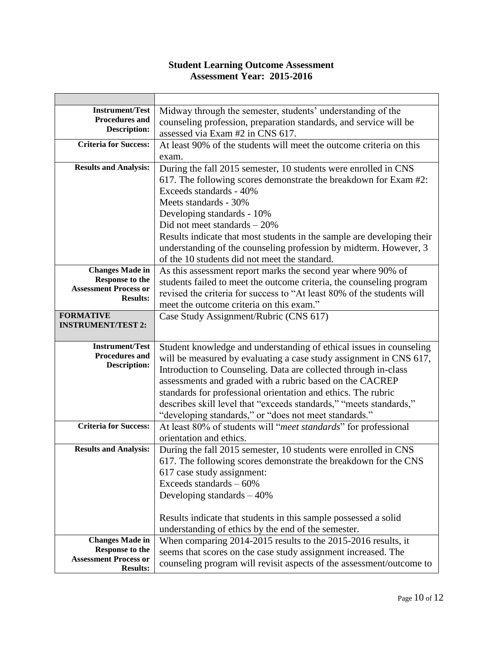| <b>Instrument/Test</b>                          | Midway through the semester, students' understanding of the            |
|-------------------------------------------------|------------------------------------------------------------------------|
| Procedures and                                  | counseling profession, preparation standards, and service will be      |
| <b>Description:</b>                             | assessed via Exam #2 in CNS 617.                                       |
| <b>Criteria for Success:</b>                    | At least 90% of the students will meet the outcome criteria on this    |
|                                                 | exam.                                                                  |
| <b>Results and Analysis:</b>                    | During the fall 2015 semester, 10 students were enrolled in CNS        |
|                                                 | 617. The following scores demonstrate the breakdown for Exam #2:       |
|                                                 | Exceeds standards - 40%                                                |
|                                                 | Meets standards - 30%                                                  |
|                                                 | Developing standards - 10%                                             |
|                                                 | Did not meet standards $-20\%$                                         |
|                                                 | Results indicate that most students in the sample are developing their |
|                                                 | understanding of the counseling profession by midterm. However, 3      |
|                                                 | of the 10 students did not meet the standard.                          |
| <b>Changes Made in</b>                          | As this assessment report marks the second year where 90% of           |
| <b>Response to the</b>                          | students failed to meet the outcome criteria, the counseling program   |
| <b>Assessment Process or</b><br><b>Results:</b> | revised the criteria for success to "At least 80% of the students will |
|                                                 | meet the outcome criteria on this exam."                               |
| <b>FORMATIVE</b>                                | Case Study Assignment/Rubric (CNS 617)                                 |
| <b>INSTRUMENT/TEST 2:</b>                       |                                                                        |
| <b>Instrument/Test</b>                          | Student knowledge and understanding of ethical issues in counseling    |
| <b>Procedures and</b>                           | will be measured by evaluating a case study assignment in CNS 617,     |
| <b>Description:</b>                             | Introduction to Counseling. Data are collected through in-class        |
|                                                 | assessments and graded with a rubric based on the CACREP               |
|                                                 | standards for professional orientation and ethics. The rubric          |
|                                                 | describes skill level that "exceeds standards," "meets standards,"     |
|                                                 | "developing standards," or "does not meet standards."                  |
| <b>Criteria for Success:</b>                    | At least 80% of students will "meet standards" for professional        |
|                                                 | orientation and ethics.                                                |
| <b>Results and Analysis:</b>                    | During the fall 2015 semester, 10 students were enrolled in CNS        |
|                                                 | 617. The following scores demonstrate the breakdown for the CNS        |
|                                                 | 617 case study assignment:                                             |
|                                                 | Exceeds standards $-60\%$                                              |
|                                                 | Developing standards $-40\%$                                           |
|                                                 |                                                                        |
|                                                 | Results indicate that students in this sample possessed a solid        |
|                                                 | understanding of ethics by the end of the semester.                    |
| <b>Changes Made in</b>                          | When comparing 2014-2015 results to the 2015-2016 results, it          |
| <b>Response to the</b>                          | seems that scores on the case study assignment increased. The          |
| <b>Assessment Process or</b><br><b>Results:</b> | counseling program will revisit aspects of the assessment/outcome to   |
|                                                 |                                                                        |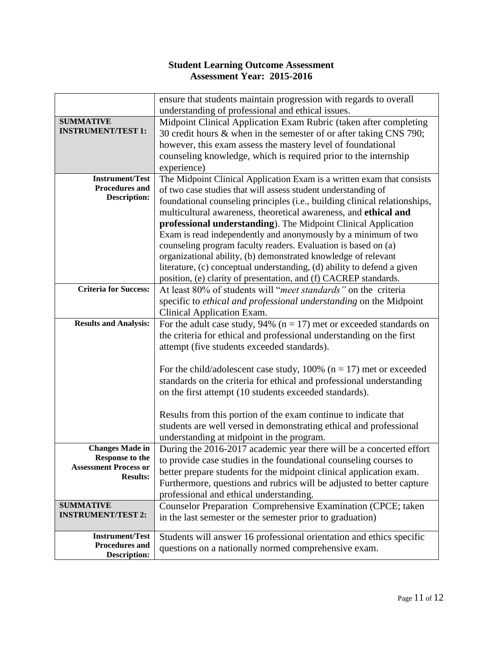|                                               | ensure that students maintain progression with regards to overall          |
|-----------------------------------------------|----------------------------------------------------------------------------|
|                                               | understanding of professional and ethical issues.                          |
| <b>SUMMATIVE</b>                              | Midpoint Clinical Application Exam Rubric (taken after completing          |
| <b>INSTRUMENT/TEST 1:</b>                     | 30 credit hours & when in the semester of or after taking CNS 790;         |
|                                               | however, this exam assess the mastery level of foundational                |
|                                               | counseling knowledge, which is required prior to the internship            |
|                                               | experience)                                                                |
| <b>Instrument/Test</b>                        | The Midpoint Clinical Application Exam is a written exam that consists     |
| <b>Procedures and</b>                         | of two case studies that will assess student understanding of              |
| <b>Description:</b>                           |                                                                            |
|                                               | foundational counseling principles (i.e., building clinical relationships, |
|                                               | multicultural awareness, theoretical awareness, and ethical and            |
|                                               | professional understanding). The Midpoint Clinical Application             |
|                                               | Exam is read independently and anonymously by a minimum of two             |
|                                               | counseling program faculty readers. Evaluation is based on (a)             |
|                                               | organizational ability, (b) demonstrated knowledge of relevant             |
|                                               | literature, (c) conceptual understanding, (d) ability to defend a given    |
|                                               | position, (e) clarity of presentation, and (f) CACREP standards.           |
| <b>Criteria for Success:</b>                  | At least 80% of students will "meet standards" on the criteria             |
|                                               | specific to ethical and professional understanding on the Midpoint         |
|                                               | Clinical Application Exam.                                                 |
| <b>Results and Analysis:</b>                  | For the adult case study, 94% ( $n = 17$ ) met or exceeded standards on    |
|                                               | the criteria for ethical and professional understanding on the first       |
|                                               | attempt (five students exceeded standards).                                |
|                                               |                                                                            |
|                                               | For the child/adolescent case study, 100% ( $n = 17$ ) met or exceeded     |
|                                               | standards on the criteria for ethical and professional understanding       |
|                                               | on the first attempt (10 students exceeded standards).                     |
|                                               |                                                                            |
|                                               | Results from this portion of the exam continue to indicate that            |
|                                               | students are well versed in demonstrating ethical and professional         |
|                                               | understanding at midpoint in the program.                                  |
| <b>Changes Made in</b>                        | During the 2016-2017 academic year there will be a concerted effort        |
| Response to the                               | to provide case studies in the foundational counseling courses to          |
| <b>Assessment Process or</b>                  | better prepare students for the midpoint clinical application exam.        |
| <b>Results:</b>                               |                                                                            |
|                                               | Furthermore, questions and rubrics will be adjusted to better capture      |
|                                               | professional and ethical understanding.                                    |
| <b>SUMMATIVE</b><br><b>INSTRUMENT/TEST 2:</b> | Counselor Preparation Comprehensive Examination (CPCE; taken               |
|                                               | in the last semester or the semester prior to graduation)                  |
| <b>Instrument/Test</b>                        | Students will answer 16 professional orientation and ethics specific       |
| Procedures and                                | questions on a nationally normed comprehensive exam.                       |
| <b>Description:</b>                           |                                                                            |